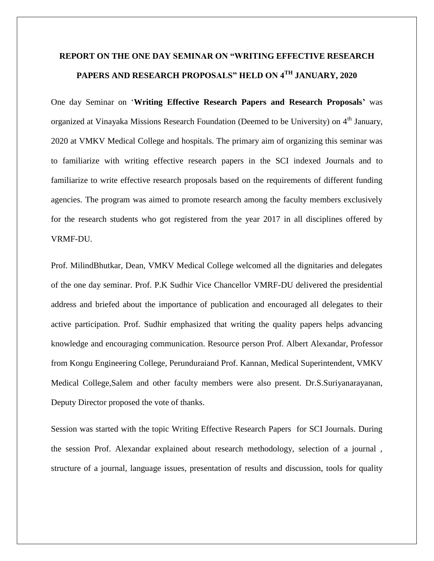## **REPORT ON THE ONE DAY SEMINAR ON "WRITING EFFECTIVE RESEARCH PAPERS AND RESEARCH PROPOSALS" HELD ON 4TH JANUARY, 2020**

One day Seminar on "**Writing Effective Research Papers and Research Proposals'** was organized at Vinayaka Missions Research Foundation (Deemed to be University) on 4<sup>th</sup> January, 2020 at VMKV Medical College and hospitals. The primary aim of organizing this seminar was to familiarize with writing effective research papers in the SCI indexed Journals and to familiarize to write effective research proposals based on the requirements of different funding agencies. The program was aimed to promote research among the faculty members exclusively for the research students who got registered from the year 2017 in all disciplines offered by VRMF-DU.

Prof. MilindBhutkar, Dean, VMKV Medical College welcomed all the dignitaries and delegates of the one day seminar. Prof. P.K Sudhir Vice Chancellor VMRF-DU delivered the presidential address and briefed about the importance of publication and encouraged all delegates to their active participation. Prof. Sudhir emphasized that writing the quality papers helps advancing knowledge and encouraging communication. Resource person Prof. Albert Alexandar, Professor from Kongu Engineering College, Perunduraiand Prof. Kannan, Medical Superintendent, VMKV Medical College,Salem and other faculty members were also present. Dr.S.Suriyanarayanan, Deputy Director proposed the vote of thanks.

Session was started with the topic Writing Effective Research Papers for SCI Journals. During the session Prof. Alexandar explained about research methodology, selection of a journal , structure of a journal, language issues, presentation of results and discussion, tools for quality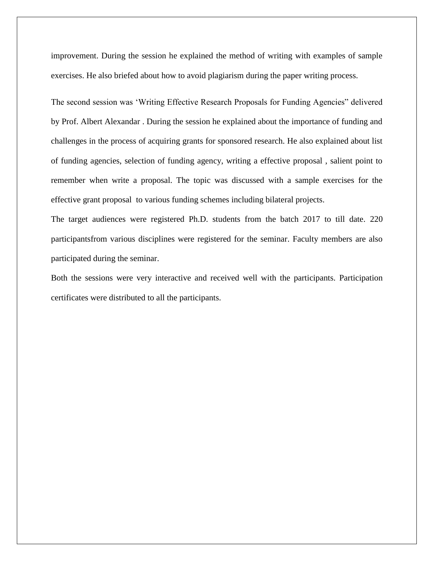improvement. During the session he explained the method of writing with examples of sample exercises. He also briefed about how to avoid plagiarism during the paper writing process.

The second session was "Writing Effective Research Proposals for Funding Agencies" delivered by Prof. Albert Alexandar . During the session he explained about the importance of funding and challenges in the process of acquiring grants for sponsored research. He also explained about list of funding agencies, selection of funding agency, writing a effective proposal , salient point to remember when write a proposal. The topic was discussed with a sample exercises for the effective grant proposal to various funding schemes including bilateral projects.

The target audiences were registered Ph.D. students from the batch 2017 to till date. 220 participantsfrom various disciplines were registered for the seminar. Faculty members are also participated during the seminar.

Both the sessions were very interactive and received well with the participants. Participation certificates were distributed to all the participants.